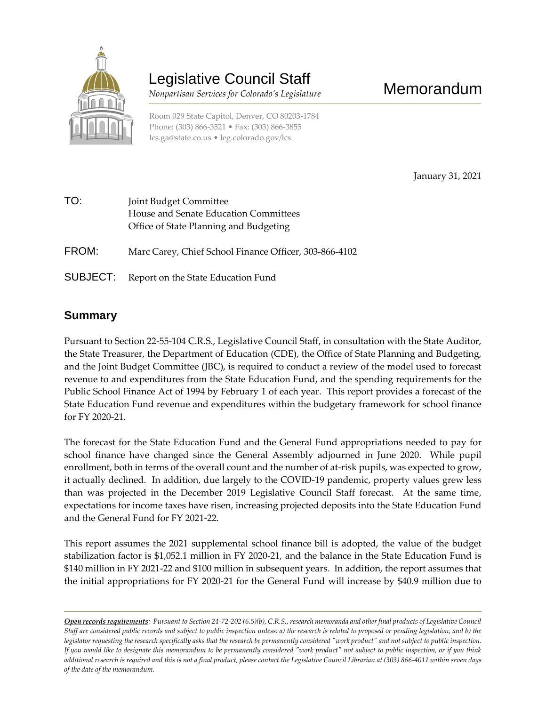

# Legislative Council Staff

 *Nonpartisan Services for Colorado's Legislature*

Room 029 State Capitol, Denver, CO 80203-1784 Phone: (303) 866-3521 • Fax: (303) 866-3855 [lcs.ga@state.co.us](mailto:lcs.ga@state.co.us) • [leg.colorado.gov/lcs](http://leg.colorado.gov/lcs)

January 31, 2021

| TO:   | Joint Budget Committee<br>House and Senate Education Committees<br>Office of State Planning and Budgeting |
|-------|-----------------------------------------------------------------------------------------------------------|
| FROM: | Marc Carey, Chief School Finance Officer, 303-866-4102                                                    |

SUBJECT: Report on the State Education Fund

### **Summary**

Pursuant to Section 22-55-104 C.R.S., Legislative Council Staff, in consultation with the State Auditor, the State Treasurer, the Department of Education (CDE), the Office of State Planning and Budgeting, and the Joint Budget Committee (JBC), is required to conduct a review of the model used to forecast revenue to and expenditures from the State Education Fund, and the spending requirements for the Public School Finance Act of 1994 by February 1 of each year. This report provides a forecast of the State Education Fund revenue and expenditures within the budgetary framework for school finance for FY 2020-21.

The forecast for the State Education Fund and the General Fund appropriations needed to pay for school finance have changed since the General Assembly adjourned in June 2020. While pupil enrollment, both in terms of the overall count and the number of at-risk pupils, was expected to grow, it actually declined. In addition, due largely to the COVID-19 pandemic, property values grew less than was projected in the December 2019 Legislative Council Staff forecast. At the same time, expectations for income taxes have risen, increasing projected deposits into the State Education Fund and the General Fund for FY 2021-22.

This report assumes the 2021 supplemental school finance bill is adopted, the value of the budget stabilization factor is \$1,052.1 million in FY 2020-21, and the balance in the State Education Fund is \$140 million in FY 2021-22 and \$100 million in subsequent years. In addition, the report assumes that the initial appropriations for FY 2020-21 for the General Fund will increase by \$40.9 million due to

*Open records requirements: Pursuant to Section 24-72-202 (6.5)(b), C.R.S., research memoranda and other final products of Legislative Council Staff are considered public records and subject to public inspection unless: a) the research is related to proposed or pending legislation; and b) the legislator requesting the research specifically asks that the research be permanently considered "work product" and not subject to public inspection. If you would like to designate this memorandum to be permanently considered "work product" not subject to public inspection, or if you think additional research is required and this is not a final product, please contact the Legislative Council Librarian at (303) 866-4011 within seven days of the date of the memorandum.*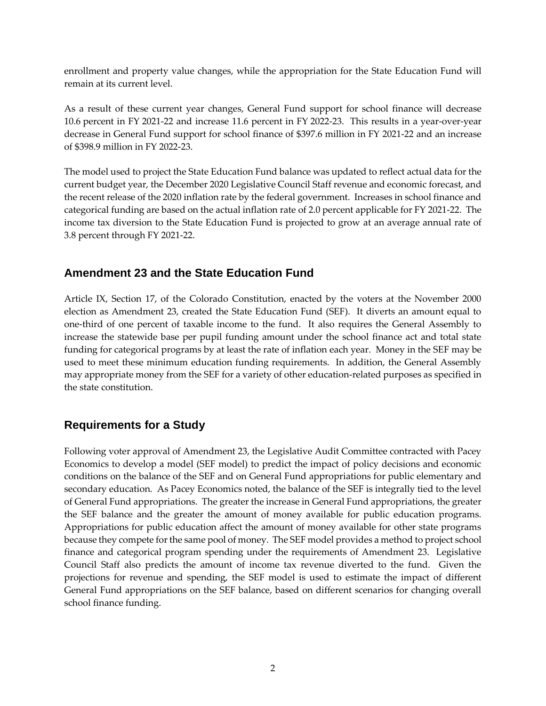enrollment and property value changes, while the appropriation for the State Education Fund will remain at its current level.

As a result of these current year changes, General Fund support for school finance will decrease 10.6 percent in FY 2021-22 and increase 11.6 percent in FY 2022-23. This results in a year-over-year decrease in General Fund support for school finance of \$397.6 million in FY 2021-22 and an increase of \$398.9 million in FY 2022-23.

The model used to project the State Education Fund balance was updated to reflect actual data for the current budget year, the December 2020 Legislative Council Staff revenue and economic forecast, and the recent release of the 2020 inflation rate by the federal government. Increases in school finance and categorical funding are based on the actual inflation rate of 2.0 percent applicable for FY 2021-22. The income tax diversion to the State Education Fund is projected to grow at an average annual rate of 3.8 percent through FY 2021-22.

### **Amendment 23 and the State Education Fund**

Article IX, Section 17, of the Colorado Constitution, enacted by the voters at the November 2000 election as Amendment 23, created the State Education Fund (SEF). It diverts an amount equal to one-third of one percent of taxable income to the fund. It also requires the General Assembly to increase the statewide base per pupil funding amount under the school finance act and total state funding for categorical programs by at least the rate of inflation each year. Money in the SEF may be used to meet these minimum education funding requirements. In addition, the General Assembly may appropriate money from the SEF for a variety of other education-related purposes as specified in the state constitution.

### **Requirements for a Study**

Following voter approval of Amendment 23, the Legislative Audit Committee contracted with Pacey Economics to develop a model (SEF model) to predict the impact of policy decisions and economic conditions on the balance of the SEF and on General Fund appropriations for public elementary and secondary education. As Pacey Economics noted, the balance of the SEF is integrally tied to the level of General Fund appropriations. The greater the increase in General Fund appropriations, the greater the SEF balance and the greater the amount of money available for public education programs. Appropriations for public education affect the amount of money available for other state programs because they compete for the same pool of money. The SEF model provides a method to project school finance and categorical program spending under the requirements of Amendment 23. Legislative Council Staff also predicts the amount of income tax revenue diverted to the fund. Given the projections for revenue and spending, the SEF model is used to estimate the impact of different General Fund appropriations on the SEF balance, based on different scenarios for changing overall school finance funding.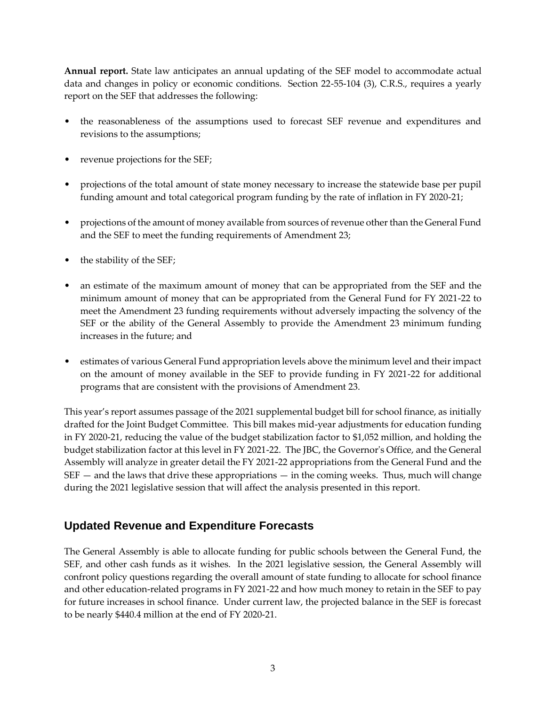**Annual report.** State law anticipates an annual updating of the SEF model to accommodate actual data and changes in policy or economic conditions. Section 22-55-104 (3), C.R.S., requires a yearly report on the SEF that addresses the following:

- the reasonableness of the assumptions used to forecast SEF revenue and expenditures and revisions to the assumptions;
- revenue projections for the SEF;
- projections of the total amount of state money necessary to increase the statewide base per pupil funding amount and total categorical program funding by the rate of inflation in FY 2020-21;
- projections of the amount of money available from sources of revenue other than the General Fund and the SEF to meet the funding requirements of Amendment 23;
- the stability of the SEF;
- an estimate of the maximum amount of money that can be appropriated from the SEF and the minimum amount of money that can be appropriated from the General Fund for FY 2021-22 to meet the Amendment 23 funding requirements without adversely impacting the solvency of the SEF or the ability of the General Assembly to provide the Amendment 23 minimum funding increases in the future; and
- estimates of various General Fund appropriation levels above the minimum level and their impact on the amount of money available in the SEF to provide funding in FY 2021-22 for additional programs that are consistent with the provisions of Amendment 23.

This year's report assumes passage of the 2021 supplemental budget bill for school finance, as initially drafted for the Joint Budget Committee. This bill makes mid-year adjustments for education funding in FY 2020-21, reducing the value of the budget stabilization factor to \$1,052 million, and holding the budget stabilization factor at this level in FY 2021-22. The JBC, the Governor's Office, and the General Assembly will analyze in greater detail the FY 2021-22 appropriations from the General Fund and the  $SEF$  — and the laws that drive these appropriations — in the coming weeks. Thus, much will change during the 2021 legislative session that will affect the analysis presented in this report.

### **Updated Revenue and Expenditure Forecasts**

The General Assembly is able to allocate funding for public schools between the General Fund, the SEF, and other cash funds as it wishes. In the 2021 legislative session, the General Assembly will confront policy questions regarding the overall amount of state funding to allocate for school finance and other education-related programs in FY 2021-22 and how much money to retain in the SEF to pay for future increases in school finance. Under current law, the projected balance in the SEF is forecast to be nearly \$440.4 million at the end of FY 2020-21.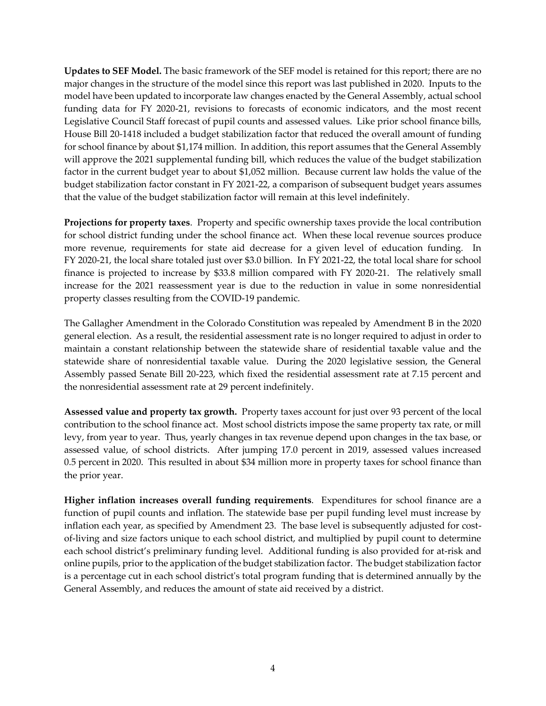**Updates to SEF Model.** The basic framework of the SEF model is retained for this report; there are no major changes in the structure of the model since this report was last published in 2020. Inputs to the model have been updated to incorporate law changes enacted by the General Assembly, actual school funding data for FY 2020-21, revisions to forecasts of economic indicators, and the most recent Legislative Council Staff forecast of pupil counts and assessed values. Like prior school finance bills, House Bill 20-1418 included a budget stabilization factor that reduced the overall amount of funding for school finance by about \$1,174 million. In addition, this report assumes that the General Assembly will approve the 2021 supplemental funding bill, which reduces the value of the budget stabilization factor in the current budget year to about \$1,052 million. Because current law holds the value of the budget stabilization factor constant in FY 2021-22, a comparison of subsequent budget years assumes that the value of the budget stabilization factor will remain at this level indefinitely.

**Projections for property taxes**. Property and specific ownership taxes provide the local contribution for school district funding under the school finance act. When these local revenue sources produce more revenue, requirements for state aid decrease for a given level of education funding. In FY 2020-21, the local share totaled just over \$3.0 billion. In FY 2021-22, the total local share for school finance is projected to increase by \$33.8 million compared with FY 2020-21. The relatively small increase for the 2021 reassessment year is due to the reduction in value in some nonresidential property classes resulting from the COVID-19 pandemic.

The Gallagher Amendment in the Colorado Constitution was repealed by Amendment B in the 2020 general election. As a result, the residential assessment rate is no longer required to adjust in order to maintain a constant relationship between the statewide share of residential taxable value and the statewide share of nonresidential taxable value. During the 2020 legislative session, the General Assembly passed Senate Bill 20-223, which fixed the residential assessment rate at 7.15 percent and the nonresidential assessment rate at 29 percent indefinitely.

**Assessed value and property tax growth.** Property taxes account for just over 93 percent of the local contribution to the school finance act. Most school districts impose the same property tax rate, or mill levy, from year to year. Thus, yearly changes in tax revenue depend upon changes in the tax base, or assessed value, of school districts. After jumping 17.0 percent in 2019, assessed values increased 0.5 percent in 2020. This resulted in about \$34 million more in property taxes for school finance than the prior year.

**Higher inflation increases overall funding requirements**. Expenditures for school finance are a function of pupil counts and inflation. The statewide base per pupil funding level must increase by inflation each year, as specified by Amendment 23. The base level is subsequently adjusted for costof-living and size factors unique to each school district, and multiplied by pupil count to determine each school district's preliminary funding level. Additional funding is also provided for at-risk and online pupils, prior to the application of the budget stabilization factor. The budget stabilization factor is a percentage cut in each school district's total program funding that is determined annually by the General Assembly, and reduces the amount of state aid received by a district.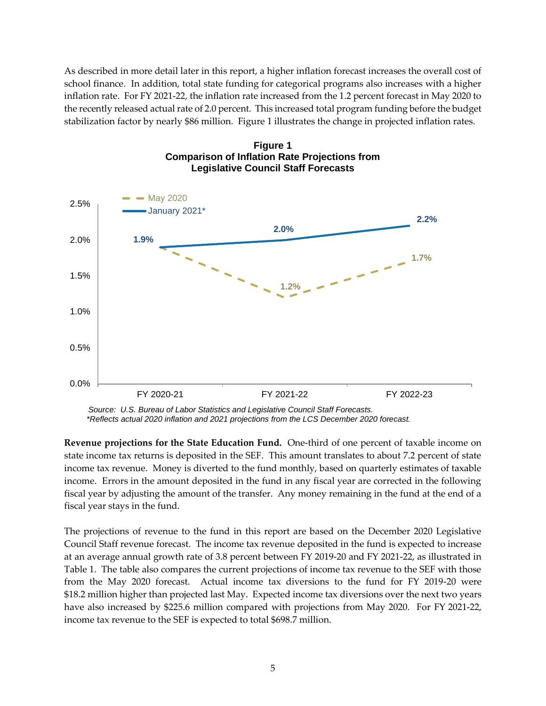As described in more detail later in this report, a higher inflation forecast increases the overall cost of school finance. In addition, total state funding for categorical programs also increases with a higher inflation rate. For FY 2021-22, the inflation rate increased from the 1.2 percent forecast in May 2020 to the recently released actual rate of 2.0 percent. This increased total program funding before the budget stabilization factor by nearly \$86 million. Figure 1 illustrates the change in projected inflation rates.





*Source: U.S. Bureau of Labor Statistics and Legislative Council Staff Forecasts. \*Reflects actual 2020 inflation and 2021 projections from the LCS December 2020 forecast.*

**Revenue projections for the State Education Fund.** One-third of one percent of taxable income on state income tax returns is deposited in the SEF. This amount translates to about 7.2 percent of state income tax revenue. Money is diverted to the fund monthly, based on quarterly estimates of taxable income. Errors in the amount deposited in the fund in any fiscal year are corrected in the following fiscal year by adjusting the amount of the transfer. Any money remaining in the fund at the end of a fiscal year stays in the fund.

The projections of revenue to the fund in this report are based on the December 2020 Legislative Council Staff revenue forecast. The income tax revenue deposited in the fund is expected to increase at an average annual growth rate of 3.8 percent between FY 2019-20 and FY 2021-22, as illustrated in Table 1. The table also compares the current projections of income tax revenue to the SEF with those from the May 2020 forecast. Actual income tax diversions to the fund for FY 2019-20 were \$18.2 million higher than projected last May. Expected income tax diversions over the next two years have also increased by \$225.6 million compared with projections from May 2020. For FY 2021-22, income tax revenue to the SEF is expected to total \$698.7 million.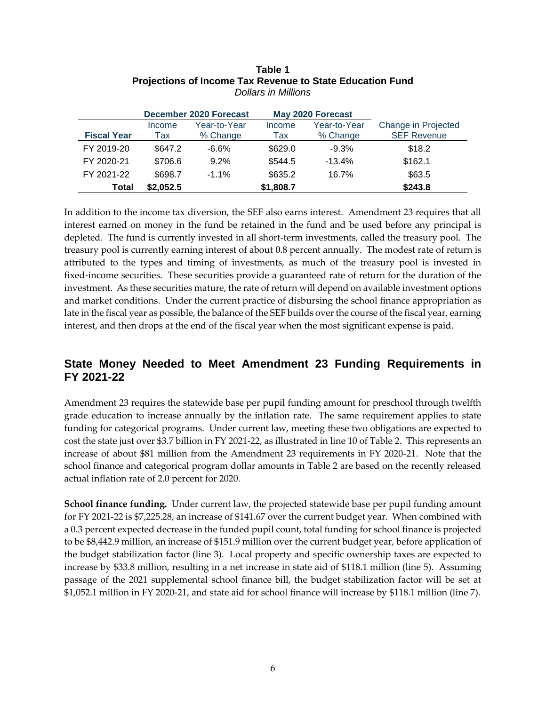|                    |           | December 2020 Forecast |           | May 2020 Forecast |                     |
|--------------------|-----------|------------------------|-----------|-------------------|---------------------|
|                    | Income    | Year-to-Year           |           | Year-to-Year      | Change in Projected |
| <b>Fiscal Year</b> | Tax       | % Change               | Tax       | % Change          | <b>SEF Revenue</b>  |
| FY 2019-20         | \$647.2   | $-6.6\%$               | \$629.0   | $-9.3%$           | \$18.2              |
| FY 2020-21         | \$706.6   | 9.2%                   | \$544.5   | $-13.4%$          | \$162.1             |
| FY 2021-22         | \$698.7   | $-1.1%$                | \$635.2   | 16.7%             | \$63.5              |
| <b>Total</b>       | \$2,052.5 |                        | \$1,808.7 |                   | \$243.8             |

#### **Table 1 Projections of Income Tax Revenue to State Education Fund** *Dollars in Millions*

In addition to the income tax diversion, the SEF also earns interest. Amendment 23 requires that all interest earned on money in the fund be retained in the fund and be used before any principal is depleted. The fund is currently invested in all short-term investments, called the treasury pool. The treasury pool is currently earning interest of about 0.8 percent annually. The modest rate of return is attributed to the types and timing of investments, as much of the treasury pool is invested in fixed-income securities. These securities provide a guaranteed rate of return for the duration of the investment. As these securities mature, the rate of return will depend on available investment options and market conditions. Under the current practice of disbursing the school finance appropriation as late in the fiscal year as possible, the balance of the SEF builds over the course of the fiscal year, earning interest, and then drops at the end of the fiscal year when the most significant expense is paid.

### **State Money Needed to Meet Amendment 23 Funding Requirements in FY 2021-22**

Amendment 23 requires the statewide base per pupil funding amount for preschool through twelfth grade education to increase annually by the inflation rate. The same requirement applies to state funding for categorical programs. Under current law, meeting these two obligations are expected to cost the state just over \$3.7 billion in FY 2021-22, as illustrated in line 10 of Table 2. This represents an increase of about \$81 million from the Amendment 23 requirements in FY 2020-21. Note that the school finance and categorical program dollar amounts in Table 2 are based on the recently released actual inflation rate of 2.0 percent for 2020.

**School finance funding.** Under current law, the projected statewide base per pupil funding amount for FY 2021-22 is \$7,225.28, an increase of \$141.67 over the current budget year. When combined with a 0.3 percent expected decrease in the funded pupil count, total funding for school finance is projected to be \$8,442.9 million, an increase of \$151.9 million over the current budget year, before application of the budget stabilization factor (line 3). Local property and specific ownership taxes are expected to increase by \$33.8 million, resulting in a net increase in state aid of \$118.1 million (line 5). Assuming passage of the 2021 supplemental school finance bill, the budget stabilization factor will be set at \$1,052.1 million in FY 2020-21, and state aid for school finance will increase by \$118.1 million (line 7).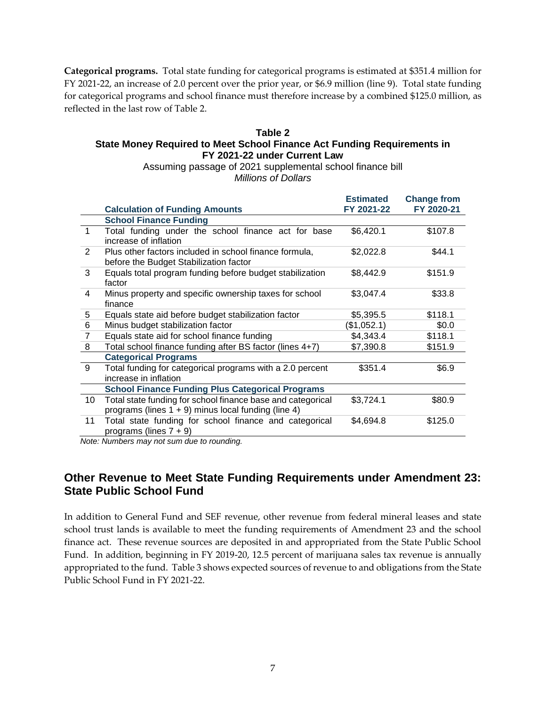**Categorical programs.** Total state funding for categorical programs is estimated at \$351.4 million for FY 2021-22, an increase of 2.0 percent over the prior year, or \$6.9 million (line 9). Total state funding for categorical programs and school finance must therefore increase by a combined \$125.0 million, as reflected in the last row of Table 2.

#### **Table 2 State Money Required to Meet School Finance Act Funding Requirements in FY 2021-22 under Current Law**

Assuming passage of 2021 supplemental school finance bill *Millions of Dollars*

|                |                                                                                                                       | <b>Estimated</b> | <b>Change from</b> |
|----------------|-----------------------------------------------------------------------------------------------------------------------|------------------|--------------------|
|                | <b>Calculation of Funding Amounts</b>                                                                                 | FY 2021-22       | FY 2020-21         |
|                | <b>School Finance Funding</b>                                                                                         |                  |                    |
| 1              | Total funding under the school finance act for base<br>increase of inflation                                          | \$6,420.1        | \$107.8            |
| $\mathcal{P}$  | Plus other factors included in school finance formula,<br>before the Budget Stabilization factor                      | \$2,022.8        | \$44.1             |
| 3              | Equals total program funding before budget stabilization<br>factor                                                    | \$8,442.9        | \$151.9            |
| 4              | Minus property and specific ownership taxes for school<br>finance                                                     | \$3,047.4        | \$33.8             |
| 5              | Equals state aid before budget stabilization factor                                                                   | \$5,395.5        | \$118.1            |
| 6              | Minus budget stabilization factor                                                                                     | (\$1,052.1)      | \$0.0              |
| $\overline{7}$ | Equals state aid for school finance funding                                                                           | \$4,343.4        | \$118.1            |
| 8              | Total school finance funding after BS factor (lines 4+7)                                                              | \$7,390.8        | \$151.9            |
|                | <b>Categorical Programs</b>                                                                                           |                  |                    |
| 9              | Total funding for categorical programs with a 2.0 percent<br>increase in inflation                                    | \$351.4          | \$6.9              |
|                | <b>School Finance Funding Plus Categorical Programs</b>                                                               |                  |                    |
| 10             | Total state funding for school finance base and categorical<br>programs (lines $1 + 9$ ) minus local funding (line 4) | \$3,724.1        | \$80.9             |
| 11             | Total state funding for school finance and categorical<br>programs (lines $7 + 9$ )                                   | \$4,694.8        | \$125.0            |

*Note: Numbers may not sum due to rounding.*

### **Other Revenue to Meet State Funding Requirements under Amendment 23: State Public School Fund**

In addition to General Fund and SEF revenue, other revenue from federal mineral leases and state school trust lands is available to meet the funding requirements of Amendment 23 and the school finance act. These revenue sources are deposited in and appropriated from the State Public School Fund. In addition, beginning in FY 2019-20, 12.5 percent of marijuana sales tax revenue is annually appropriated to the fund. Table 3 shows expected sources of revenue to and obligations from the State Public School Fund in FY 2021-22.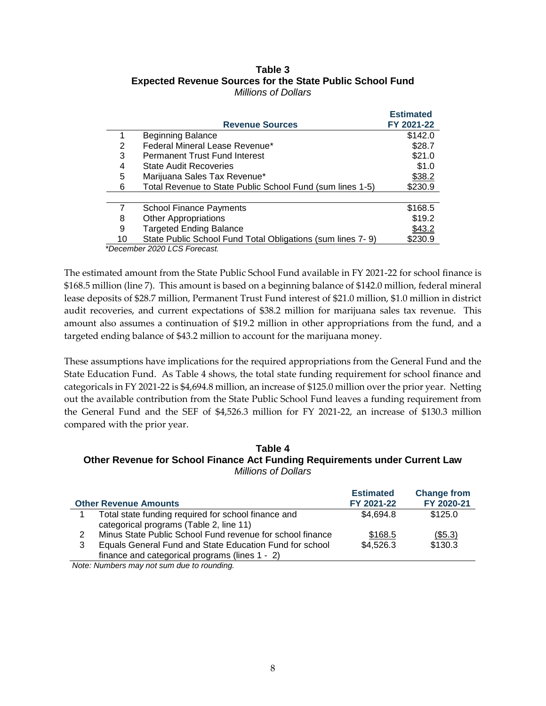#### **Table 3 Expected Revenue Sources for the State Public School Fund** *Millions of Dollars*

|    |                                                            | <b>Estimated</b> |
|----|------------------------------------------------------------|------------------|
|    | <b>Revenue Sources</b>                                     | FY 2021-22       |
|    | <b>Beginning Balance</b>                                   | \$142.0          |
| 2  | Federal Mineral Lease Revenue*                             | \$28.7           |
| 3  | <b>Permanent Trust Fund Interest</b>                       | \$21.0           |
| 4  | <b>State Audit Recoveries</b>                              | \$1.0            |
| 5  | Marijuana Sales Tax Revenue*                               | \$38.2           |
| 6  | Total Revenue to State Public School Fund (sum lines 1-5)  | \$230.9          |
|    |                                                            |                  |
|    | <b>School Finance Payments</b>                             | \$168.5          |
| 8  | <b>Other Appropriations</b>                                | \$19.2           |
| 9  | <b>Targeted Ending Balance</b>                             | \$43.2           |
| 10 | State Public School Fund Total Obligations (sum lines 7-9) | \$230.9          |
|    | $*$ Dooombor 2020 LCC Eqroquat                             |                  |

*\*December 2020 LCS Forecast.*

The estimated amount from the State Public School Fund available in FY 2021-22 for school finance is \$168.5 million (line 7). This amount is based on a beginning balance of \$142.0 million, federal mineral lease deposits of \$28.7 million, Permanent Trust Fund interest of \$21.0 million, \$1.0 million in district audit recoveries, and current expectations of \$38.2 million for marijuana sales tax revenue. This amount also assumes a continuation of \$19.2 million in other appropriations from the fund, and a targeted ending balance of \$43.2 million to account for the marijuana money.

These assumptions have implications for the required appropriations from the General Fund and the State Education Fund. As Table 4 shows, the total state funding requirement for school finance and categoricals in FY 2021-22 is \$4,694.8 million, an increase of \$125.0 million over the prior year. Netting out the available contribution from the State Public School Fund leaves a funding requirement from the General Fund and the SEF of \$4,526.3 million for FY 2021-22, an increase of \$130.3 million compared with the prior year.

#### **Table 4 Other Revenue for School Finance Act Funding Requirements under Current Law** *Millions of Dollars*

|   | <b>Other Revenue Amounts</b>                              | <b>Estimated</b><br>FY 2021-22 | <b>Change from</b><br>FY 2020-21 |
|---|-----------------------------------------------------------|--------------------------------|----------------------------------|
|   | Total state funding required for school finance and       | \$4,694.8                      | \$125.0                          |
|   | categorical programs (Table 2, line 11)                   |                                |                                  |
| 2 | Minus State Public School Fund revenue for school finance | \$168.5                        | $($ \$5.3)                       |
| 3 | Equals General Fund and State Education Fund for school   | \$4,526.3                      | \$130.3                          |
|   | finance and categorical programs (lines 1 - 2)            |                                |                                  |

*Note: Numbers may not sum due to rounding.*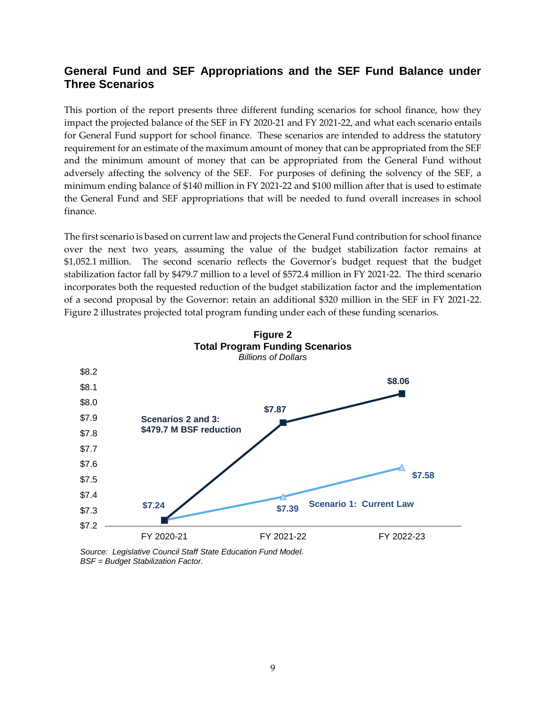### **General Fund and SEF Appropriations and the SEF Fund Balance under Three Scenarios**

This portion of the report presents three different funding scenarios for school finance, how they impact the projected balance of the SEF in FY 2020-21 and FY 2021-22, and what each scenario entails for General Fund support for school finance. These scenarios are intended to address the statutory requirement for an estimate of the maximum amount of money that can be appropriated from the SEF and the minimum amount of money that can be appropriated from the General Fund without adversely affecting the solvency of the SEF. For purposes of defining the solvency of the SEF, a minimum ending balance of \$140 million in FY 2021-22 and \$100 million after that is used to estimate the General Fund and SEF appropriations that will be needed to fund overall increases in school finance.

The first scenario is based on current law and projects the General Fund contribution for school finance over the next two years, assuming the value of the budget stabilization factor remains at \$1,052.1 million. The second scenario reflects the Governor's budget request that the budget stabilization factor fall by \$479.7 million to a level of \$572.4 million in FY 2021-22. The third scenario incorporates both the requested reduction of the budget stabilization factor and the implementation of a second proposal by the Governor: retain an additional \$320 million in the SEF in FY 2021-22. Figure 2 illustrates projected total program funding under each of these funding scenarios.



**Figure 2**

*Source: Legislative Council Staff State Education Fund Model. BSF = Budget Stabilization Factor.*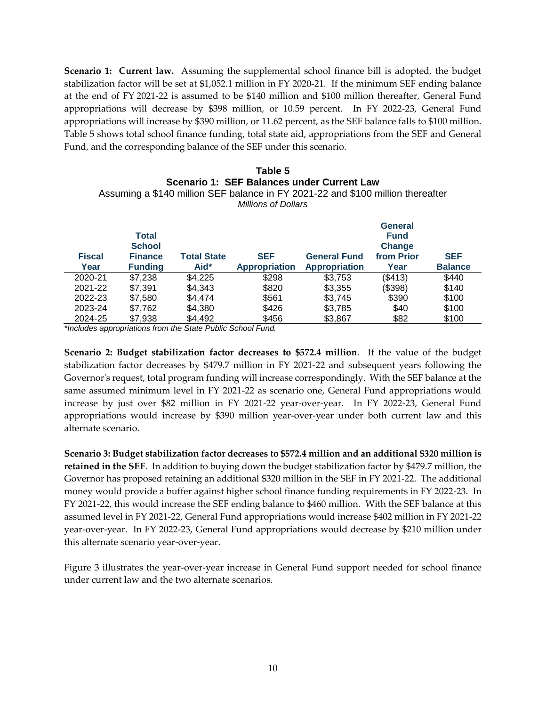**Scenario 1: Current law.** Assuming the supplemental school finance bill is adopted, the budget stabilization factor will be set at \$1,052.1 million in FY 2020-21. If the minimum SEF ending balance at the end of FY 2021-22 is assumed to be \$140 million and \$100 million thereafter, General Fund appropriations will decrease by \$398 million, or 10.59 percent. In FY 2022-23, General Fund appropriations will increase by \$390 million, or 11.62 percent, as the SEF balance falls to \$100 million. Table 5 shows total school finance funding, total state aid, appropriations from the SEF and General Fund, and the corresponding balance of the SEF under this scenario.

#### **Table 5 Scenario 1: SEF Balances under Current Law** Assuming a \$140 million SEF balance in FY 2021-22 and \$100 million thereafter *Millions of Dollars*

| <b>Fiscal</b><br>Year | <b>Total</b><br><b>School</b><br><b>Finance</b><br><b>Funding</b> | <b>Total State</b><br>Aid* | <b>SEF</b><br><b>Appropriation</b> | <b>General Fund</b><br><b>Appropriation</b> | <b>General</b><br><b>Fund</b><br>Change<br>from Prior<br>Year | <b>SEF</b><br><b>Balance</b> |
|-----------------------|-------------------------------------------------------------------|----------------------------|------------------------------------|---------------------------------------------|---------------------------------------------------------------|------------------------------|
| 2020-21               | \$7,238                                                           | \$4,225                    | \$298                              | \$3,753                                     | (\$413)                                                       | \$440                        |
| 2021-22               | \$7,391                                                           | \$4,343                    | \$820                              | \$3,355                                     | (\$398)                                                       | \$140                        |
| 2022-23               | \$7,580                                                           | \$4,474                    | \$561                              | \$3,745                                     | \$390                                                         | \$100                        |
| 2023-24               | \$7,762                                                           | \$4,380                    | \$426                              | \$3,785                                     | \$40                                                          | \$100                        |
| 2024-25               | \$7,938                                                           | \$4,492                    | \$456                              | \$3,867                                     | \$82                                                          | \$100                        |

*\*Includes appropriations from the State Public School Fund.*

**Scenario 2: Budget stabilization factor decreases to \$572.4 million**. If the value of the budget stabilization factor decreases by \$479.7 million in FY 2021-22 and subsequent years following the Governor's request, total program funding will increase correspondingly. With the SEF balance at the same assumed minimum level in FY 2021-22 as scenario one, General Fund appropriations would increase by just over \$82 million in FY 2021-22 year-over-year. In FY 2022-23, General Fund appropriations would increase by \$390 million year-over-year under both current law and this alternate scenario.

**Scenario 3: Budget stabilization factor decreases to \$572.4 million and an additional \$320 million is retained in the SEF**. In addition to buying down the budget stabilization factor by \$479.7 million, the Governor has proposed retaining an additional \$320 million in the SEF in FY 2021-22. The additional money would provide a buffer against higher school finance funding requirements in FY 2022-23. In FY 2021-22, this would increase the SEF ending balance to \$460 million. With the SEF balance at this assumed level in FY 2021-22, General Fund appropriations would increase \$402 million in FY 2021-22 year-over-year. In FY 2022-23, General Fund appropriations would decrease by \$210 million under this alternate scenario year-over-year.

Figure 3 illustrates the year-over-year increase in General Fund support needed for school finance under current law and the two alternate scenarios.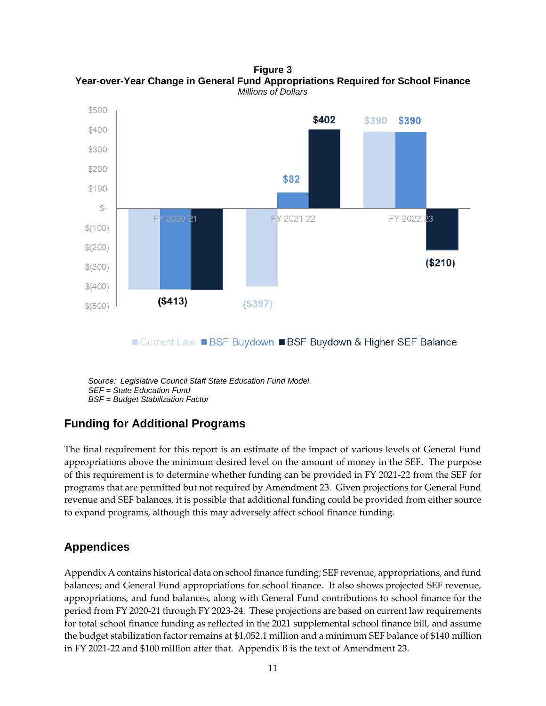\$500 \$402 \$390 \$390 \$400 \$300 \$200 \$82 \$100  $S-$ FY 2022-23 FY FY 2021-22  $$(100)$  $$(200)$  $($210)$  $$ (300)$  $$(400)$  $($413)$  $($397)$  $$ (500)$ 

**Figure 3 Year-over-Year Change in General Fund Appropriations Required for School Finance** *Millions of Dollars*

■ Current Law ■ BSF Buydown ■ BSF Buydown & Higher SEF Balance

*Source: Legislative Council Staff State Education Fund Model. SEF = State Education Fund BSF = Budget Stabilization Factor*

## **Funding for Additional Programs**

The final requirement for this report is an estimate of the impact of various levels of General Fund appropriations above the minimum desired level on the amount of money in the SEF. The purpose of this requirement is to determine whether funding can be provided in FY 2021-22 from the SEF for programs that are permitted but not required by Amendment 23. Given projections for General Fund revenue and SEF balances, it is possible that additional funding could be provided from either source to expand programs, although this may adversely affect school finance funding.

## **Appendices**

Appendix A contains historical data on school finance funding; SEF revenue, appropriations, and fund balances; and General Fund appropriations for school finance. It also shows projected SEF revenue, appropriations, and fund balances, along with General Fund contributions to school finance for the period from FY 2020-21 through FY 2023-24. These projections are based on current law requirements for total school finance funding as reflected in the 2021 supplemental school finance bill, and assume the budget stabilization factor remains at \$1,052.1 million and a minimum SEF balance of \$140 million in FY 2021-22 and \$100 million after that. Appendix B is the text of Amendment 23.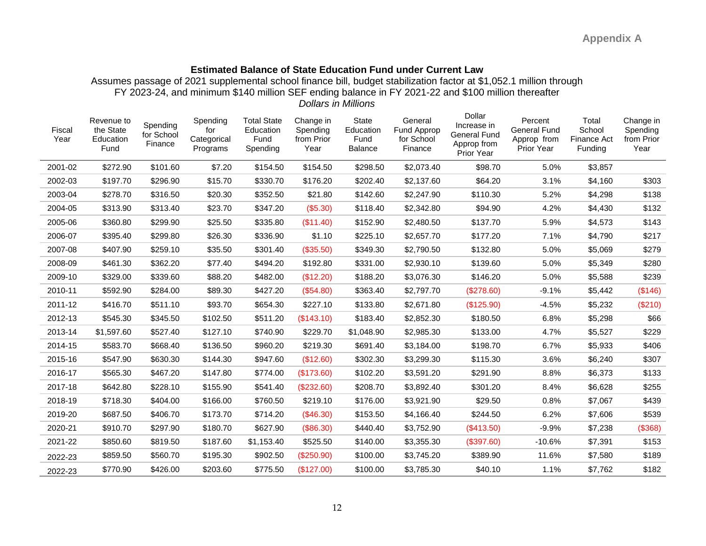### **Estimated Balance of State Education Fund under Current Law**

Assumes passage of 2021 supplemental school finance bill, budget stabilization factor at \$1,052.1 million through FY 2023-24, and minimum \$140 million SEF ending balance in FY 2021-22 and \$100 million thereafter *Dollars in Millions*

| Fiscal<br>Year | Revenue to<br>the State<br>Education<br>Fund | Spending<br>for School<br>Finance | Spending<br>for<br>Categorical<br>Programs | <b>Total State</b><br>Education<br>Fund<br>Spending | Change in<br>Spending<br>from Prior<br>Year | State<br>Education<br>Fund<br>Balance | General<br>Fund Approp<br>for School<br>Finance | Dollar<br>Increase in<br><b>General Fund</b><br>Approp from<br>Prior Year | Percent<br>General Fund<br>Approp from<br>Prior Year | Total<br>School<br><b>Finance Act</b><br>Funding | Change in<br>Spending<br>from Prior<br>Year |
|----------------|----------------------------------------------|-----------------------------------|--------------------------------------------|-----------------------------------------------------|---------------------------------------------|---------------------------------------|-------------------------------------------------|---------------------------------------------------------------------------|------------------------------------------------------|--------------------------------------------------|---------------------------------------------|
| 2001-02        | \$272.90                                     | \$101.60                          | \$7.20                                     | \$154.50                                            | \$154.50                                    | \$298.50                              | \$2,073.40                                      | \$98.70                                                                   | 5.0%                                                 | \$3,857                                          |                                             |
| 2002-03        | \$197.70                                     | \$296.90                          | \$15.70                                    | \$330.70                                            | \$176.20                                    | \$202.40                              | \$2,137.60                                      | \$64.20                                                                   | 3.1%                                                 | \$4,160                                          | \$303                                       |
| 2003-04        | \$278.70                                     | \$316.50                          | \$20.30                                    | \$352.50                                            | \$21.80                                     | \$142.60                              | \$2,247.90                                      | \$110.30                                                                  | 5.2%                                                 | \$4,298                                          | \$138                                       |
| 2004-05        | \$313.90                                     | \$313.40                          | \$23.70                                    | \$347.20                                            | (\$5.30)                                    | \$118.40                              | \$2,342.80                                      | \$94.90                                                                   | 4.2%                                                 | \$4,430                                          | \$132                                       |
| 2005-06        | \$360.80                                     | \$299.90                          | \$25.50                                    | \$335.80                                            | (\$11.40)                                   | \$152.90                              | \$2,480.50                                      | \$137.70                                                                  | 5.9%                                                 | \$4,573                                          | \$143                                       |
| 2006-07        | \$395.40                                     | \$299.80                          | \$26.30                                    | \$336.90                                            | \$1.10                                      | \$225.10                              | \$2,657.70                                      | \$177.20                                                                  | 7.1%                                                 | \$4,790                                          | \$217                                       |
| 2007-08        | \$407.90                                     | \$259.10                          | \$35.50                                    | \$301.40                                            | (\$35.50)                                   | \$349.30                              | \$2,790.50                                      | \$132.80                                                                  | 5.0%                                                 | \$5,069                                          | \$279                                       |
| 2008-09        | \$461.30                                     | \$362.20                          | \$77.40                                    | \$494.20                                            | \$192.80                                    | \$331.00                              | \$2,930.10                                      | \$139.60                                                                  | 5.0%                                                 | \$5,349                                          | \$280                                       |
| 2009-10        | \$329.00                                     | \$339.60                          | \$88.20                                    | \$482.00                                            | (\$12.20)                                   | \$188.20                              | \$3,076.30                                      | \$146.20                                                                  | 5.0%                                                 | \$5,588                                          | \$239                                       |
| 2010-11        | \$592.90                                     | \$284.00                          | \$89.30                                    | \$427.20                                            | (\$54.80)                                   | \$363.40                              | \$2,797.70                                      | (\$278.60)                                                                | $-9.1%$                                              | \$5,442                                          | (\$146)                                     |
| 2011-12        | \$416.70                                     | \$511.10                          | \$93.70                                    | \$654.30                                            | \$227.10                                    | \$133.80                              | \$2,671.80                                      | (\$125.90)                                                                | $-4.5%$                                              | \$5,232                                          | (\$210)                                     |
| 2012-13        | \$545.30                                     | \$345.50                          | \$102.50                                   | \$511.20                                            | (\$143.10)                                  | \$183.40                              | \$2,852.30                                      | \$180.50                                                                  | 6.8%                                                 | \$5,298                                          | \$66                                        |
| 2013-14        | \$1,597.60                                   | \$527.40                          | \$127.10                                   | \$740.90                                            | \$229.70                                    | \$1,048.90                            | \$2,985.30                                      | \$133.00                                                                  | 4.7%                                                 | \$5,527                                          | \$229                                       |
| 2014-15        | \$583.70                                     | \$668.40                          | \$136.50                                   | \$960.20                                            | \$219.30                                    | \$691.40                              | \$3,184.00                                      | \$198.70                                                                  | 6.7%                                                 | \$5,933                                          | \$406                                       |
| 2015-16        | \$547.90                                     | \$630.30                          | \$144.30                                   | \$947.60                                            | (\$12.60)                                   | \$302.30                              | \$3,299.30                                      | \$115.30                                                                  | 3.6%                                                 | \$6,240                                          | \$307                                       |
| 2016-17        | \$565.30                                     | \$467.20                          | \$147.80                                   | \$774.00                                            | (\$173.60)                                  | \$102.20                              | \$3,591.20                                      | \$291.90                                                                  | 8.8%                                                 | \$6,373                                          | \$133                                       |
| 2017-18        | \$642.80                                     | \$228.10                          | \$155.90                                   | \$541.40                                            | (\$232.60)                                  | \$208.70                              | \$3,892.40                                      | \$301.20                                                                  | 8.4%                                                 | \$6,628                                          | \$255                                       |
| 2018-19        | \$718.30                                     | \$404.00                          | \$166.00                                   | \$760.50                                            | \$219.10                                    | \$176.00                              | \$3,921.90                                      | \$29.50                                                                   | 0.8%                                                 | \$7,067                                          | \$439                                       |
| 2019-20        | \$687.50                                     | \$406.70                          | \$173.70                                   | \$714.20                                            | (\$46.30)                                   | \$153.50                              | \$4,166.40                                      | \$244.50                                                                  | 6.2%                                                 | \$7,606                                          | \$539                                       |
| 2020-21        | \$910.70                                     | \$297.90                          | \$180.70                                   | \$627.90                                            | (\$86.30)                                   | \$440.40                              | \$3,752.90                                      | (\$413.50)                                                                | $-9.9%$                                              | \$7,238                                          | (\$368)                                     |
| 2021-22        | \$850.60                                     | \$819.50                          | \$187.60                                   | \$1,153.40                                          | \$525.50                                    | \$140.00                              | \$3,355.30                                      | (\$397.60)                                                                | $-10.6%$                                             | \$7,391                                          | \$153                                       |
| 2022-23        | \$859.50                                     | \$560.70                          | \$195.30                                   | \$902.50                                            | $(\$250.90)$                                | \$100.00                              | \$3,745.20                                      | \$389.90                                                                  | 11.6%                                                | \$7,580                                          | \$189                                       |
| 2022-23        | \$770.90                                     | \$426.00                          | \$203.60                                   | \$775.50                                            | (\$127.00)                                  | \$100.00                              | \$3,785.30                                      | \$40.10                                                                   | 1.1%                                                 | \$7,762                                          | \$182                                       |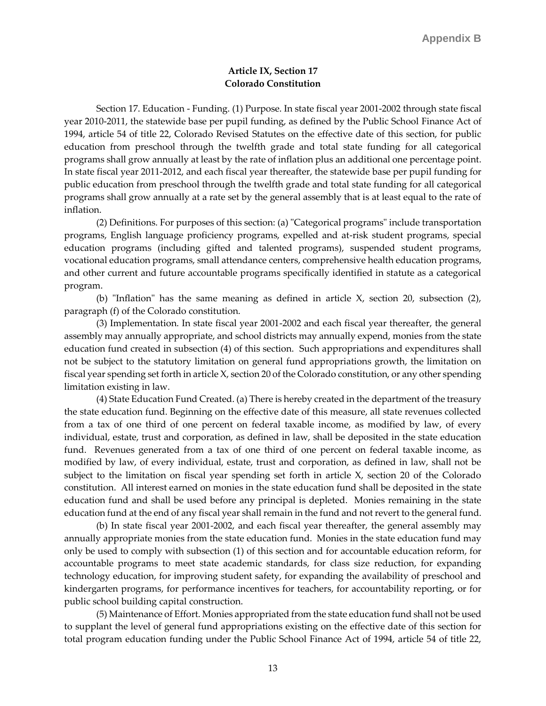#### **Article IX, Section 17 Colorado Constitution**

Section 17. Education - Funding. (1) Purpose. In state fiscal year 2001-2002 through state fiscal year 2010-2011, the statewide base per pupil funding, as defined by the Public School Finance Act of 1994, article 54 of title 22, Colorado Revised Statutes on the effective date of this section, for public education from preschool through the twelfth grade and total state funding for all categorical programs shall grow annually at least by the rate of inflation plus an additional one percentage point. In state fiscal year 2011-2012, and each fiscal year thereafter, the statewide base per pupil funding for public education from preschool through the twelfth grade and total state funding for all categorical programs shall grow annually at a rate set by the general assembly that is at least equal to the rate of inflation.

(2) Definitions. For purposes of this section: (a) "Categorical programs" include transportation programs, English language proficiency programs, expelled and at-risk student programs, special education programs (including gifted and talented programs), suspended student programs, vocational education programs, small attendance centers, comprehensive health education programs, and other current and future accountable programs specifically identified in statute as a categorical program.

(b) "Inflation" has the same meaning as defined in article X, section 20, subsection (2), paragraph (f) of the Colorado constitution.

(3) Implementation. In state fiscal year 2001-2002 and each fiscal year thereafter, the general assembly may annually appropriate, and school districts may annually expend, monies from the state education fund created in subsection (4) of this section. Such appropriations and expenditures shall not be subject to the statutory limitation on general fund appropriations growth, the limitation on fiscal year spending set forth in article X, section 20 of the Colorado constitution, or any other spending limitation existing in law.

(4) State Education Fund Created. (a) There is hereby created in the department of the treasury the state education fund. Beginning on the effective date of this measure, all state revenues collected from a tax of one third of one percent on federal taxable income, as modified by law, of every individual, estate, trust and corporation, as defined in law, shall be deposited in the state education fund. Revenues generated from a tax of one third of one percent on federal taxable income, as modified by law, of every individual, estate, trust and corporation, as defined in law, shall not be subject to the limitation on fiscal year spending set forth in article X, section 20 of the Colorado constitution. All interest earned on monies in the state education fund shall be deposited in the state education fund and shall be used before any principal is depleted. Monies remaining in the state education fund at the end of any fiscal year shall remain in the fund and not revert to the general fund.

(b) In state fiscal year 2001-2002, and each fiscal year thereafter, the general assembly may annually appropriate monies from the state education fund. Monies in the state education fund may only be used to comply with subsection (1) of this section and for accountable education reform, for accountable programs to meet state academic standards, for class size reduction, for expanding technology education, for improving student safety, for expanding the availability of preschool and kindergarten programs, for performance incentives for teachers, for accountability reporting, or for public school building capital construction.

(5) Maintenance of Effort. Monies appropriated from the state education fund shall not be used to supplant the level of general fund appropriations existing on the effective date of this section for total program education funding under the Public School Finance Act of 1994, article 54 of title 22,